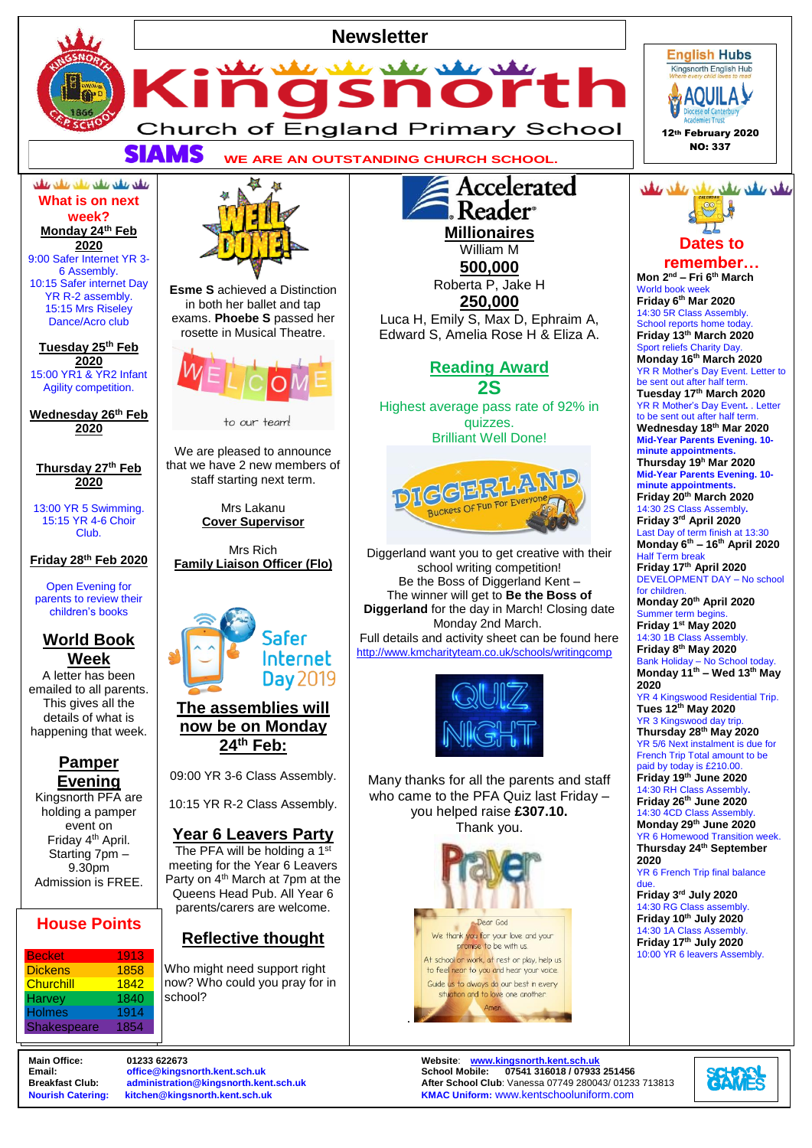

**Breakfast Club:** [administration@kingsnorth.kent.sch.uk](mailto:administration@kingsnorth.kent.sch.uk) **After School Club**: Vanessa 07749 280043/ 01233 713813<br>**Nourish Catering: kitchen@kingsnorth.kent.sch.uk After School Club**: KMAC Uniform: www.kentschooluniform.co **KMAC Uniform: [www.kentschooluniform.com](http://www.kentschooluniform.com/)**